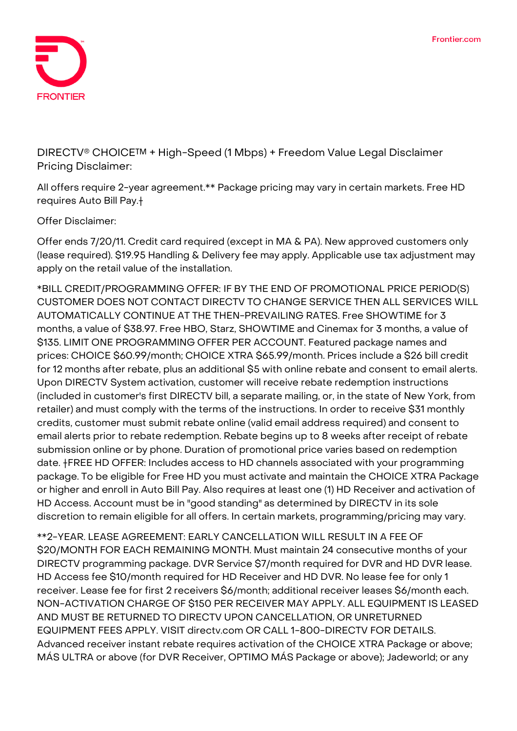

**DIRECTV® CHOICE™ + High-Speed (1 Mbps) + Freedom Value Legal Disclaimer Pricing Disclaimer:**

All offers require 2-year agreement.\*\* Package pricing may vary in certain markets. Free HD requires Auto Bill Pay.†

**Offer Disclaimer:**

Offer ends 7/20/11. Credit card required (except in MA & PA). New approved customers only (lease required). \$19.95 Handling & Delivery fee may apply. Applicable use tax adjustment may apply on the retail value of the installation.

**\*BILL CREDIT/PROGRAMMING OFFER:** IF BY THE END OF PROMOTIONAL PRICE PERIOD(S) CUSTOMER DOES NOT CONTACT DIRECTV TO CHANGE SERVICE THEN ALL SERVICES WILL AUTOMATICALLY CONTINUE AT THE THEN-PREVAILING RATES. Free SHOWTIME for 3 months, a value of \$38.97. Free HBO, Starz, SHOWTIME and Cinemax for 3 months, a value of \$135. LIMIT ONE PROGRAMMING OFFER PER ACCOUNT. Featured package names and prices: CHOICE \$60.99/month; CHOICE XTRA \$65.99/month. Prices include a \$26 bill credit for 12 months after rebate, plus an additional \$5 with online rebate and consent to email alerts. Upon DIRECTV System activation, customer will receive rebate redemption instructions (included in customer's first DIRECTV bill, a separate mailing, or, in the state of New York, from retailer) and must comply with the terms of the instructions. In order to receive \$31 monthly credits, customer must submit rebate online (valid email address required) and consent to email alerts prior to rebate redemption. Rebate begins up to 8 weeks after receipt of rebate submission online or by phone. Duration of promotional price varies based on redemption date. **†FREE HD OFFER:** Includes access to HD channels associated with your programming package. To be eligible for Free HD you must activate and maintain the CHOICE XTRA Package or higher and enroll in Auto Bill Pay. Also requires at least one (1) HD Receiver and activation of HD Access. Account must be in "good standing" as determined by DIRECTV in its sole discretion to remain eligible for all offers. In certain markets, programming/pricing may vary.

**\*\*2-YEAR. LEASE AGREEMENT:** EARLY CANCELLATION WILL RESULT IN A FEE OF \$20/MONTH FOR EACH REMAINING MONTH. Must maintain 24 consecutive months of your DIRECTV programming package. DVR Service \$7/month required for DVR and HD DVR lease. HD Access fee \$10/month required for HD Receiver and HD DVR. No lease fee for only 1 receiver. Lease fee for first 2 receivers \$6/month; additional receiver leases \$6/month each. NON-ACTIVATION CHARGE OF \$150 PER RECEIVER MAY APPLY. ALL EQUIPMENT IS LEASED AND MUST BE RETURNED TO DIRECTV UPON CANCELLATION, OR UNRETURNED EQUIPMENT FEES APPLY. VISIT directv.com OR CALL 1-800-DIRECTV FOR DETAILS. Advanced receiver instant rebate requires activation of the CHOICE XTRA Package or above; MÁS ULTRA or above (for DVR Receiver, OPTIMO MÁS Package or above); Jadeworld; or any